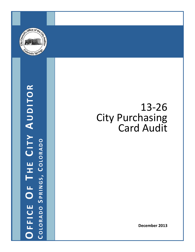

# OFFICE OF THE CITY AUDITOR **OFFICE OF T H E C ITY A UDITOR COLORADO S PRINGS , C OLORADO**

# 13 ‐26 City Purchasing Card Audit

**December 2013**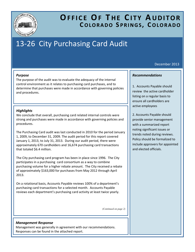

## **OFFICE OF T H E C ITY A UDITOR COLORADO S PRINGS , C OLORADO**

# 13-26 City Purchasing Card Audit

## December 2013

## *Purpose*

The purpose of the audit was to evaluate the adequacy of the internal control environment as it relates to purchasing card purchases, and to determine that purchases were made in accordance with governing policies and procedures.

## *Highlights*

We conclude that overall, purchasing card related internal controls were strong and purchases were made in accordance with governing policies and procedures.

The Purchasing Card audit was last conducted in 2010 for the period January 1, 2009, to December 31, 2009. The audit period for this report covered January 1, 2013, to July 31, 2013. During our audit period, there were approximately 670 cardholders and 16,674 purchasing card transactions that totaled \$6.4 million.

The City purchasing card program has been in place since 1996. The City participates in a purchasing card consortium as a way to combine purchasing volume for a higher rebate amount. The City received a rebate of approximately \$163,000 for purchases from May 2012 through April 2013.

On a rotational basis, Accounts Payable reviews 100% of a department's purchasing card transactions for a selected month. Accounts Payable reviews each department's purchasing card activity at least twice yearly.

*(Continued on page 2)* 

## *Management Response*

Management was generally in agreement with our recommendations. Responses can be found in the attached report.

## *Recommendations*

1. Accounts Payable should review the active cardholder listing on a regular basis to ensure all cardholders are active employees

2. Accounts Payable should provide senior management with a summarized report noting significant issues or trends noted during reviews. Policy should be formalized to include approvers for appointed and elected officials.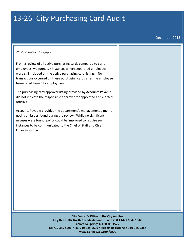# 13-26 City Purchasing Card Audit

December 2013

*(Highlights continued from page 1)* 

From a review of all active purchasing cards compared to current employees, we found six instances where separated employees were still included on the active purchasing card listing. No transactions occurred on these purchasing cards after the employee terminated from City employment.

The purchasing card approver listing provided by Accounts Payable did not indicate the responsible approver for appointed and elected officials.

Accounts Payable provided the department's management a memo noting all issues found during the review. While no significant misuses were found, policy could be improved to require such instances to be communicated to the Chief of Staff and Chief Financial Officer.

> **City Council's Office of the City Auditor City Hall 107 North Nevada Avenue Suite 200 Mail Code 1542 Colorado Springs CO 80901‐1575 Tel 719‐385‐5991 Fax 719‐385‐5699 Reporting Hotline 719‐385‐2387 www.SpringsGov.com/OCA**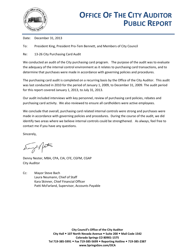

Date: December 31, 2013

To: President King, President Pro-Tem Bennett, and Members of City Council

Re: 13-26 City Purchasing Card Audit

We conducted an audit of the City purchasing card program. The purpose of the audit was to evaluate the adequacy of the internal control environment as it relates to purchasing card transactions, and to determine that purchases were made in accordance with governing policies and procedures.

The purchasing card audit is completed on a recurring basis by the Office of the City Auditor. This audit was last conducted in 2010 for the period of January 1, 2009, to December 31, 2009. The audit period for this report covered January 1, 2013, to July 31, 2013.

Our audit included interviews with key personnel, review of purchasing card policies, rebates and purchasing card activity. We also reviewed to ensure all cardholders were active employees.

We conclude that overall, purchasing card related internal controls were strong and purchases were made in accordance with governing policies and procedures. During the course of the audit, we did identify two areas where we believe internal controls could be strengthened. As always, feel free to contact me if you have any questions.

Sincerely,

Denny Nester, MBA, CPA, CIA, CFE, CGFM, CGAP City Auditor

Cc: Mayor Steve Bach Laura Neumann, Chief of Staff Kara Skinner, Chief Financial Officer Patti McFarland, Supervisor, Accounts Payable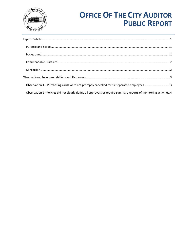

# **OFFICE OF THE CITY AUDITOR PUBLIC REPORT**

| Observation 1 - Purchasing cards were not promptly cancelled for six separated employees3<br>Observation 2-Policies did not clearly define all approvers or require summary reports of monitoring activities.4 |
|----------------------------------------------------------------------------------------------------------------------------------------------------------------------------------------------------------------|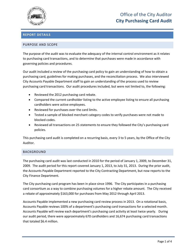

## Office of the City Auditor **City Purchasing Card Audit**

## <span id="page-5-0"></span>**REPORT DETAILS**

## <span id="page-5-1"></span>PURPOSE AND SCOPE

The purpose of the audit was to evaluate the adequacy of the internal control environment as it relates to purchasing card transactions, and to determine that purchases were made in accordance with governing policies and procedures.

Our audit included a review of the purchasing card policy to gain an understanding of how to obtain a purchasing card, guidelines for making purchases, and the reconciliation process. We also interviewed City Accounts Payable Department staff to gain an understanding of the process used to review purchasing card transactions. Our audit procedures included, but were not limited to, the following:

- Reviewed the 2012 purchasing card rebate.
- Compared the current cardholder listing to the active employee listing to ensure all purchasing cardholders were active employees.
- Reviewed for purchases over the card limits.
- Tested a sample of blocked merchant category codes to verify purchases were not made to blocked codes.
- Reviewed all transactions on 25 statements to ensure they followed the City's purchasing card policies.

This purchasing card audit is completed on a recurring basis, every 3 to 5 years, by the Office of the City Auditor.

## <span id="page-5-2"></span>BACKGROUND

The purchasing card audit was last conducted in 2010 for the period of January 1, 2009, to December 31, 2009. The audit period for this report covered January 1, 2013, to July 31, 2013. During the prior audit, the Accounts Payable Department reported to the City Contracting Department, but now reports to the City Finance Department.

The City purchasing card program has been in place since 1996. The City participates in a purchasing card consortium as a way to combine purchasing volumes for a higher rebate amount. The City received a rebate of approximately \$163,000 for purchases from May 2012 through April 2013.

Accounts Payable implemented a new purchasing card review process in 2013. On a rotational basis, Accounts Payable reviews 100% of a department's purchasing card transactions for a selected month. Accounts Payable will review each department's purchasing card activity at least twice yearly. During our audit period, there were approximately 670 cardholders and 16,674 purchasing card transactions that totaled \$6.4 million.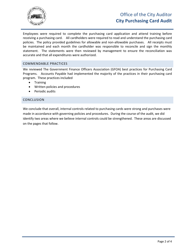

## Office of the City Auditor **City Purchasing Card Audit**

Employees were required to complete the purchasing card application and attend training before receiving a purchasing card. All cardholders were required to read and understand the purchasing card policies. The policy provided guidelines for allowable and non-allowable purchases. All receipts must be maintained and each month the cardholder was responsible to reconcile and sign the monthly statement. The statements were then reviewed by management to ensure the reconciliation was accurate and that all expenditures were authorized.

## <span id="page-6-0"></span>COMMENDABLE PRACTICES

We reviewed The Government Finance Officers Association (GFOA) best practices for Purchasing Card Programs. Accounts Payable had implemented the majority of the practices in their purchasing card program. These practices included

- Training
- Written policies and procedures
- Periodic audits

## <span id="page-6-1"></span>CONCLUSION

We conclude that overall, internal controls related to purchasing cards were strong and purchases were made in accordance with governing policies and procedures. During the course of the audit, we did identify two areas where we believe internal controls could be strengthened. These areas are discussed on the pages that follow.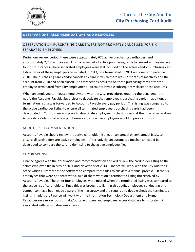

## <span id="page-7-0"></span>**OBSERVATIONS, RECOMMENDATIONS AND RESPONSES**

## <span id="page-7-1"></span>OBSERVATION 1 – PURCHASING CARDS WERE NOT PROMPTLY CANCELLED FOR SIX SEPARATED EMPLOYEES

During our review period, there were approximately 670 active purchasing cardholders and approximately 2,700 employees. From a review of all active purchasing cards to current employees, we found six instances where separated employees were still included on the active vendor purchasing card listing. Four of these employees terminated in 2013, one terminated in 2011 and one terminated in 2010. The purchasing card vendor cancels any card in which there was 22 months of inactivity and the account from 2010 had been closed. No transactions occurred on these purchasing cards after the employee terminated from City employment. Accounts Payable subsequently closed these accounts.

When an employee terminated employment with the City, procedures required the department to notify the Accounts Payable Supervisor to deactivate that employee's purchasing card. In addition, a termination listing was forwarded to Accounts Payable every pay period. This listing was compared to the active cardholder listing to ensure all terminated employee's purchasing cards had been deactivated. Controls were in place to deactivate employee purchasing cards at the time of separation. A periodic validation of active purchasing cards to active employees would improve controls.

## AUDITOR'S RECOMMENDATION

Accounts Payable should review the active cardholder listing, on an annual or semiannual basis, to ensure all cardholders are active employees. Alternatively, an automated mechanism could be developed to compare the cardholder listing to the active employee file.

## CITY RESPONSE

Finance agrees with the observation and recommendation and will review the cardholder listing to the active employee file in May of 2014 and November of 2014. Finance will work with the City Auditor's office which currently has the software to compare these files to alleviate a manual process. Of the six employees that were not deactivated, two of them were on a terminated listing not received by Accounts Payable. The other four employees were missed when the terminated listing was compared to the active list of cardholders. Since this was brought to light in this audit, employees conducting this comparison have been made aware of the inaccuracy and are required to double check the terminated listing. In addition, Finance will work with the Information Technology Department and Human Resources on a more robust intake/outtake process and employee access database to mitigate risk associated with terminating employees.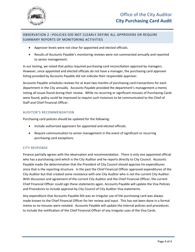

## <span id="page-8-0"></span>OBSERVATION 2 –POLICIES DID NOT CLEARLY DEFINE ALL APPROVERS OR REQUIRE SUMMARY REPORTS OF MONITORING ACTIVITIES

- Approver levels were not clear for appointed and elected officials.
- Results of Accounts Payable's monitoring reviews were not summarized annually and reported to senior management.

In our testing, we noted that policy required purchasing card reconciliation approval by managers. However, since appointed and elected officials do not have a manager, the purchasing card approver listing provided by Accounts Payable did not indicate their responsible approver.

Accounts Payable schedules reviews for at least two months of purchasing card transactions for each department in the City annually. Accounts Payable provided the department's management a memo noting all issues found during their review. While no recurring or significant misuses of Purchasing Cards were found, policy could be improved to require such instances to be communicated to the Chief of Staff and Chief Financial Officer.

## AUDITOR'S RECOMMENDATION

Purchasing card policies should be updated for the following:

- Include authorized approvers for appointed and elected officials.
- Require communication to senior management in the event of significant or recurring purchasing card exceptions.

## CITY RESPONSE

Finance partially agrees with the observation and recommendation. There is only one appointed official who has a purchasing card which is the City Auditor and he reports directly to City Council. Accounts Payable made the determination that the President of City Council should approve his expenditures since that is the reporting structure. In the past the Chief Financial Officer approved expenditures of the City Auditor but that created some resistance with one City Auditor who is not the current City Auditor. With discussion and agreement of the current City Auditor and the Chief Financial Officer, the current Chief Financial Officer could sign these statements again. Accounts Payable will update the Visa Policies and Procedures to include approval by City Council of City Auditor Visa statements.

Any expenditure that Accounts Payable felt was an irregular use of the purchasing card was always made known to the Chief Financial Officer for her review and input. This has not been done in a formal memo as no misuses were notated. Accounts Payable will update the internal policies and procedures to include the notification of the Chief Financial Officer of any irregular uses of the Visa Cards.